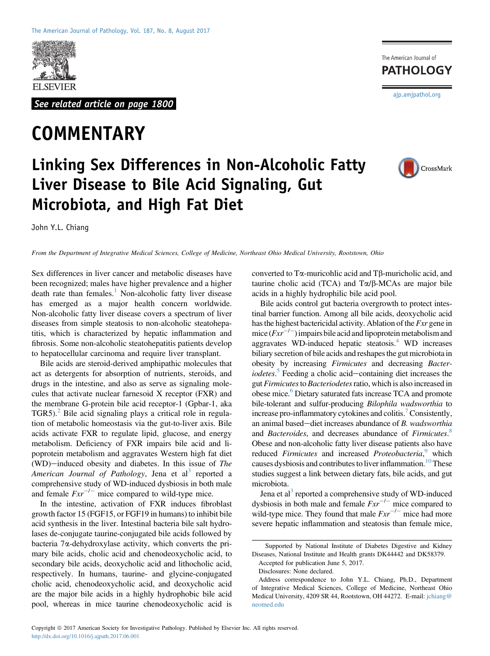

See related article on page 1800

## **COMMENTARY**

## The American Journal of **PATHOLOGY**

[ajp.amjpathol.org](http://ajp.amjpathol.org)

CrossMark

## Linking Sex Differences in Non-Alcoholic Fatty Liver Disease to Bile Acid Signaling, Gut Microbiota, and High Fat Diet



John Y.L. Chiang

From the Department of Integrative Medical Sciences, College of Medicine, Northeast Ohio Medical University, Rootstown, Ohio

Sex differences in liver cancer and metabolic diseases have been recognized; males have higher prevalence and a higher death rate than females. $\frac{1}{1}$  $\frac{1}{1}$  $\frac{1}{1}$  Non-alcoholic fatty liver disease has emerged as a major health concern worldwide. Non-alcoholic fatty liver disease covers a spectrum of liver diseases from simple steatosis to non-alcoholic steatohepatitis, which is characterized by hepatic inflammation and fibrosis. Some non-alcoholic steatohepatitis patients develop to hepatocellular carcinoma and require liver transplant.

Bile acids are steroid-derived amphipathic molecules that act as detergents for absorption of nutrients, steroids, and drugs in the intestine, and also as serve as signaling molecules that activate nuclear farnesoid X receptor (FXR) and the membrane G-protein bile acid receptor-1 (Gpbar-1, aka  $TGR5$ ).<sup>[2](#page-1-1)</sup> Bile acid signaling plays a critical role in regulation of metabolic homeostasis via the gut-to-liver axis. Bile acids activate FXR to regulate lipid, glucose, and energy metabolism. Deficiency of FXR impairs bile acid and lipoprotein metabolism and aggravates Western high fat diet (WD)-induced obesity and diabetes. In this issue of  $The$ American Journal of Pathology, Jena et al<sup>[3](#page-1-2)</sup> reported a comprehensive study of WD-induced dysbiosis in both male and female  $Fxr^{-/-}$  mice compared to wild-type mice.

In the intestine, activation of FXR induces fibroblast growth factor 15 (FGF15, or FGF19 in humans) to inhibit bile acid synthesis in the liver. Intestinal bacteria bile salt hydrolases de-conjugate taurine-conjugated bile acids followed by bacteria  $7\alpha$ -dehydroxylase activity, which converts the primary bile acids, cholic acid and chenodeoxycholic acid, to secondary bile acids, deoxycholic acid and lithocholic acid, respectively. In humans, taurine- and glycine-conjugated cholic acid, chenodeoxycholic acid, and deoxycholic acid are the major bile acids in a highly hydrophobic bile acid pool, whereas in mice taurine chenodeoxycholic acid is

converted to Ta-muricohlic acid and Tb-muricholic acid, and taurine cholic acid (TCA) and  $T\alpha/\beta$ -MCAs are major bile acids in a highly hydrophilic bile acid pool.

Bile acids control gut bacteria overgrowth to protect intestinal barrier function. Among all bile acids, deoxycholic acid has the highest bactericidal activity. Ablation of the Fxr gene in mice  $(Fxr^{-1})$  impairs bile acid and lipoprotein metabolism and aggravates WD-induced hepatic steatosis.[4](#page-1-3) WD increases biliary secretion of bile acids and reshapes the gut microbiota in obesity by increasing Firmicutes and decreasing Bacter-iodetes.<sup>[5](#page-1-4)</sup> Feeding a cholic acid-containing diet increases the gut Firmicutes to Bacteriodetes ratio, which is also increased in obese mice.<sup>6</sup> Dietary saturated fats increase TCA and promote bile-tolerant and sulfur-producing Bilophila wadsworthia to increase pro-inflammatory cytokines and colitis.<sup>7</sup> Consistently, an animal based-diet increases abundance of  $B$ . wadsworthia and Bacteroides, and decreases abundance of Firmicutes.<sup>[8](#page-1-7)</sup> Obese and non-alcoholic fatty liver disease patients also have reduced Firmicutes and increased Proteobacteria,<sup>[9](#page-1-8)</sup> which causes dysbiosis and contributes to liver inflammation.<sup>[10](#page-1-9)</sup> These studies suggest a link between dietary fats, bile acids, and gut microbiota.

Jena et  $al^3$  $al^3$  reported a comprehensive study of WD-induced dysbiosis in both male and female  $Fxr^{-1}$  mice compared to wild-type mice. They found that male  $Fxr^{-/-}$  mice had more severe hepatic inflammation and steatosis than female mice,

Supported by National Institute of Diabetes Digestive and Kidney Diseases, National Institute and Health grants DK44442 and DK58379.

Accepted for publication June 5, 2017.

Disclosures: None declared.

Address correspondence to John Y.L. Chiang, Ph.D., Department of Integrative Medical Sciences, College of Medicine, Northeast Ohio Medical University, 4209 SR 44, Rootstown, OH 44272. E-mail: [jchiang@](mailto:jchiang@neomed.edu) [neomed.edu](mailto:jchiang@neomed.edu)